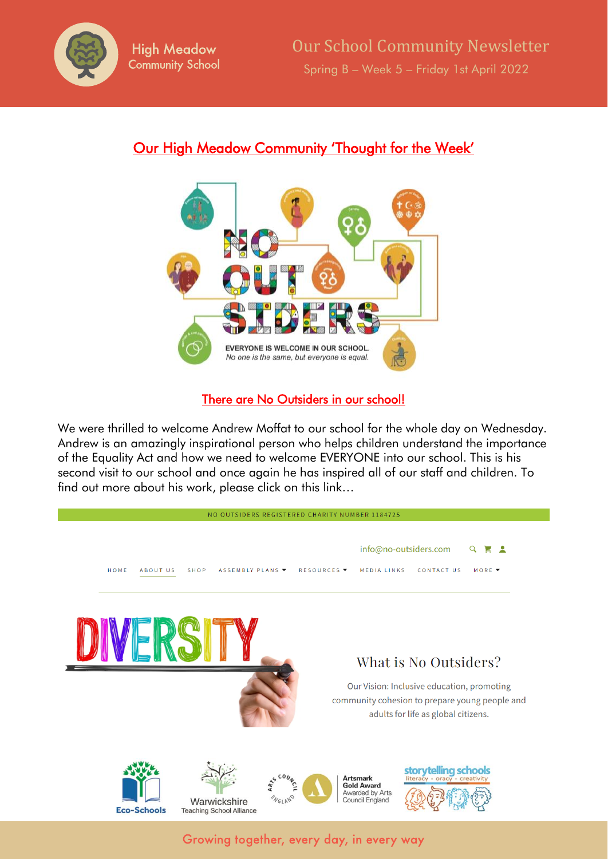

# Our High Meadow Community 'Thought for the Week'



## There are No Outsiders in our school!

We were thrilled to welcome Andrew Moffat to our school for the whole day on Wednesday. Andrew is an amazingly inspirational person who helps children understand the importance of the Equality Act and how we need to welcome EVERYONE into our school. This is his second visit to our school and once again he has inspired all of our staff and children. To find out more about his work, please click on this link…

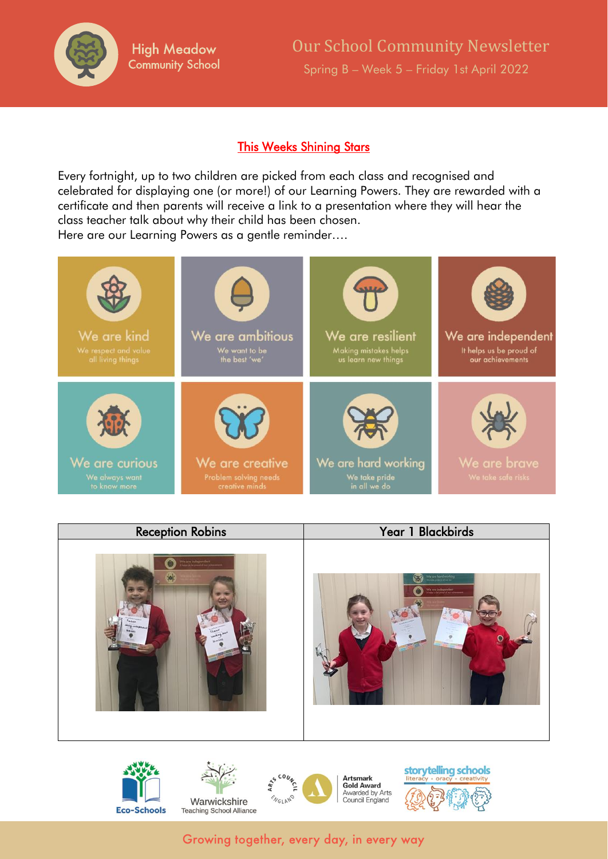

### This Weeks Shining Stars

Every fortnight, up to two children are picked from each class and recognised and celebrated for displaying one (or more!) of our Learning Powers. They are rewarded with a certificate and then parents will receive a link to a presentation where they will hear the class teacher talk about why their child has been chosen. Here are our Learning Powers as a gentle reminder….





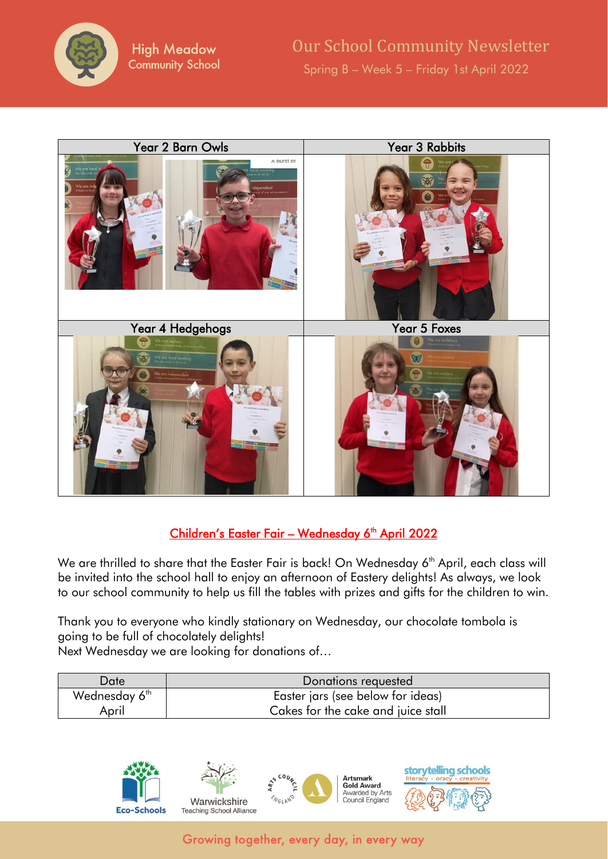



## <u>Children's Easter Fair – Wednesday 6<sup>th</sup> April 2022</u>

We are thrilled to share that the Easter Fair is back! On Wednesday 6<sup>th</sup> April, each class will be invited into the school hall to enjoy an afternoon of Eastery delights! As always, we look to our school community to help us fill the tables with prizes and gifts for the children to win.

Thank you to everyone who kindly stationary on Wednesday, our chocolate tombola is going to be full of chocolately delights! Next Wednesday we are looking for donations of…

| ⊃ate                      | Donations requested                |
|---------------------------|------------------------------------|
| Wednesday 6 <sup>th</sup> | Easter jars (see below for ideas)  |
| April                     | Cakes for the cake and juice stall |

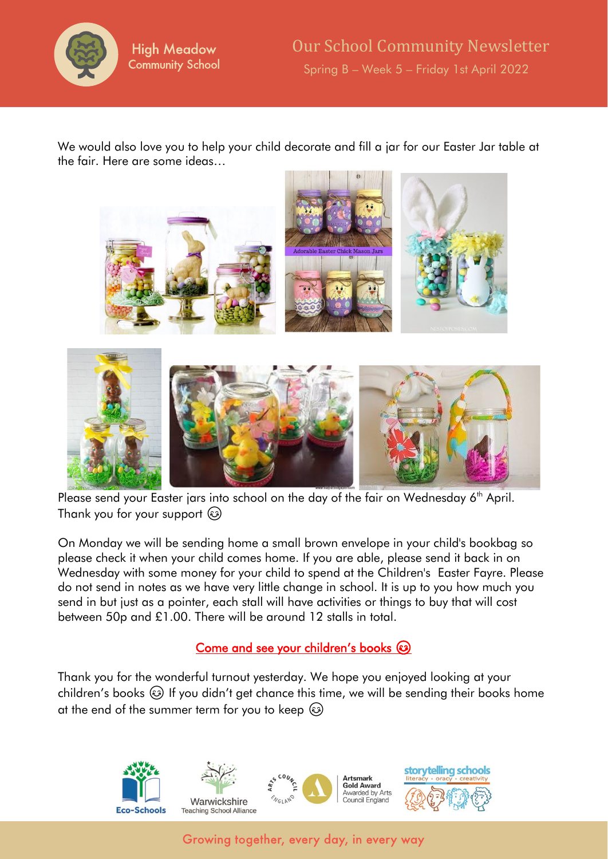

We would also love you to help your child decorate and fill a jar for our Easter Jar table at the fair. Here are some ideas…



Please send your Easter jars into school on the day of the fair on Wednesday 6<sup>th</sup> April. Thank you for your support

On Monday we will be sending home a small brown envelope in your child's bookbag so please check it when your child comes home. If you are able, please send it back in on Wednesday with some money for your child to spend at the Children's Easter Fayre. Please do not send in notes as we have very little change in school. It is up to you how much you send in but just as a pointer, each stall will have activities or things to buy that will cost between 50p and £1.00. There will be around 12 stalls in total.

### Come and see your children's books  $\circledcirc$

Thank you for the wonderful turnout yesterday. We hope you enjoyed looking at your children's books  $\circled{a}$  If you didn't get chance this time, we will be sending their books home at the end of the summer term for you to keep  $\circled{e}$ 

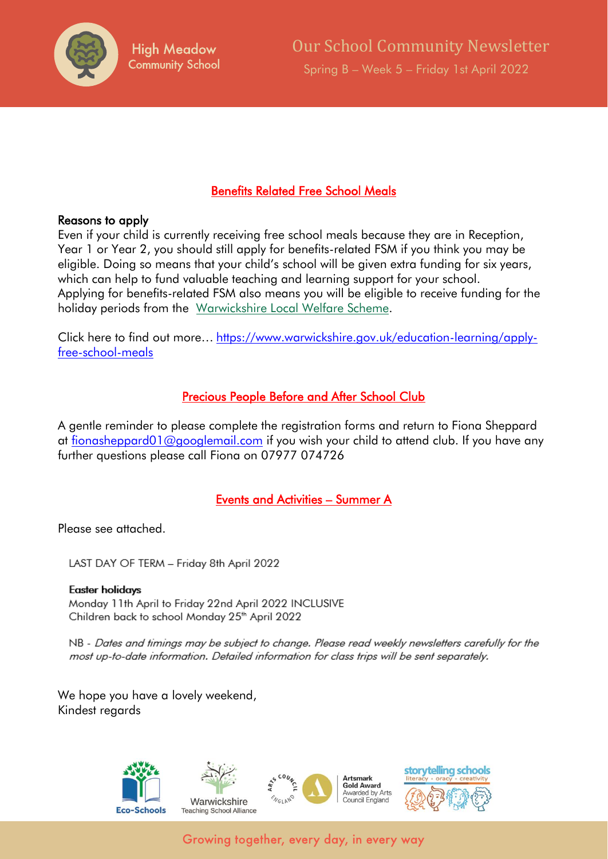

### Benefits Related Free School Meals

#### Reasons to apply

Even if your child is currently receiving free school meals because they are in Reception, Year 1 or Year 2, you should still apply for benefits-related FSM if you think you may be eligible. Doing so means that your child's school will be given extra funding for six years, which can help to fund valuable teaching and learning support for your school. Applying for benefits-related FSM also means you will be eligible to receive funding for the holiday periods from the [Warwickshire Local Welfare Scheme.](https://www.warwickshire.gov.uk/localwelfarescheme)

Click here to find out more… [https://www.warwickshire.gov.uk/education-learning/apply](https://www.warwickshire.gov.uk/education-learning/apply-free-school-meals)[free-school-meals](https://www.warwickshire.gov.uk/education-learning/apply-free-school-meals)

### Precious People Before and After School Club

A gentle reminder to please complete the registration forms and return to Fiona Sheppard at [fionasheppard01@googlemail.com](mailto:fionasheppard01@googlemail.com) if you wish your child to attend club. If you have any further questions please call Fiona on 07977 074726

### Events and Activities – Summer A

Please see attached.

LAST DAY OF TERM - Friday 8th April 2022

#### **Easter holidays**

Monday 11th April to Friday 22nd April 2022 INCLUSIVE Children back to school Monday 25<sup>th</sup> April 2022

NB - Dates and timings may be subject to change. Please read weekly newsletters carefully for the most up-to-date information. Detailed information for class trips will be sent separately.

We hope you have a lovely weekend, Kindest regards